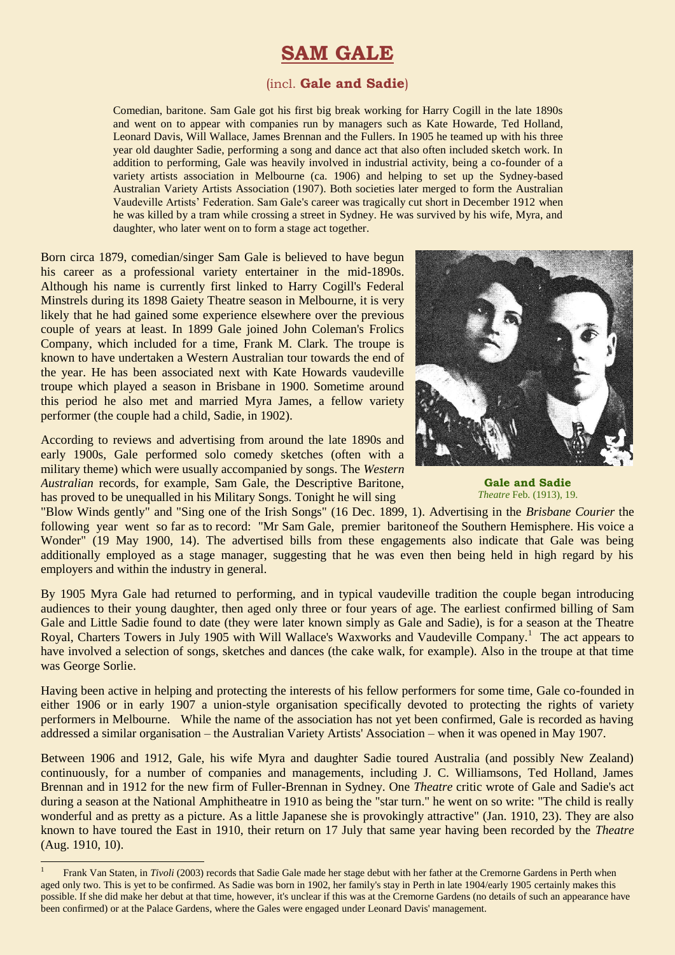# **SAM GALE**

### (incl. **Gale and Sadie**)

Comedian, baritone. Sam Gale got his first big break working for Harry Cogill in the late 1890s and went on to appear with companies run by managers such as Kate Howarde, Ted Holland, Leonard Davis, Will Wallace, James Brennan and the Fullers. In 1905 he teamed up with his three year old daughter Sadie, performing a song and dance act that also often included sketch work. In addition to performing, Gale was heavily involved in industrial activity, being a co-founder of a variety artists association in Melbourne (ca. 1906) and helping to set up the Sydney-based Australian Variety Artists Association (1907). Both societies later merged to form the Australian Vaudeville Artists' Federation. Sam Gale's career was tragically cut short in December 1912 when he was killed by a tram while crossing a street in Sydney. He was survived by his wife, Myra, and daughter, who later went on to form a stage act together.

Born circa 1879, comedian/singer Sam Gale is believed to have begun his career as a professional variety entertainer in the mid-1890s. Although his name is currently first linked to Harry Cogill's Federal Minstrels during its 1898 Gaiety Theatre season in Melbourne, it is very likely that he had gained some experience elsewhere over the previous couple of years at least. In 1899 Gale joined John Coleman's Frolics Company, which included for a time, Frank M. Clark. The troupe is known to have undertaken a Western Australian tour towards the end of the year. He has been associated next with Kate Howards vaudeville troupe which played a season in Brisbane in 1900. Sometime around this period he also met and married Myra James, a fellow variety performer (the couple had a child, Sadie, in 1902).

According to reviews and advertising from around the late 1890s and early 1900s, Gale performed solo comedy sketches (often with a military theme) which were usually accompanied by songs. The *Western Australian* records, for example, Sam Gale, the Descriptive Baritone, has proved to be unequalled in his Military Songs. Tonight he will sing

1



**Gale and Sadie** *Theatre* Feb. (1913), 19.

"Blow Winds gently" and "Sing one of the Irish Songs" (16 Dec. 1899, 1). Advertising in the *Brisbane Courier* the following year went so far as to record: "Mr Sam Gale, premier baritoneof the Southern Hemisphere. His voice a Wonder" (19 May 1900, 14). The advertised bills from these engagements also indicate that Gale was being additionally employed as a stage manager, suggesting that he was even then being held in high regard by his employers and within the industry in general.

By 1905 Myra Gale had returned to performing, and in typical vaudeville tradition the couple began introducing audiences to their young daughter, then aged only three or four years of age. The earliest confirmed billing of Sam Gale and Little Sadie found to date (they were later known simply as Gale and Sadie), is for a season at the Theatre Royal, Charters Towers in July 1905 with Will Wallace's Waxworks and Vaudeville Company.<sup>1</sup> The act appears to have involved a selection of songs, sketches and dances (the cake walk, for example). Also in the troupe at that time was George Sorlie.

Having been active in helping and protecting the interests of his fellow performers for some time, Gale co-founded in either 1906 or in early 1907 a union-style organisation specifically devoted to protecting the rights of variety performers in Melbourne. While the name of the association has not yet been confirmed, Gale is recorded as having addressed a similar organisation – the Australian Variety Artists' Association – when it was opened in May 1907.

Between 1906 and 1912, Gale, his wife Myra and daughter Sadie toured Australia (and possibly New Zealand) continuously, for a number of companies and managements, including J. C. Williamsons, Ted Holland, James Brennan and in 1912 for the new firm of Fuller-Brennan in Sydney. One *Theatre* critic wrote of Gale and Sadie's act during a season at the National Amphitheatre in 1910 as being the "star turn." he went on so write: "The child is really wonderful and as pretty as a picture. As a little Japanese she is provokingly attractive" (Jan. 1910, 23). They are also known to have toured the East in 1910, their return on 17 July that same year having been recorded by the *Theatre* (Aug. 1910, 10).

<sup>1</sup> Frank Van Staten, in *Tivoli* (2003) records that Sadie Gale made her stage debut with her father at the Cremorne Gardens in Perth when aged only two. This is yet to be confirmed. As Sadie was born in 1902, her family's stay in Perth in late 1904/early 1905 certainly makes this possible. If she did make her debut at that time, however, it's unclear if this was at the Cremorne Gardens (no details of such an appearance have been confirmed) or at the Palace Gardens, where the Gales were engaged under Leonard Davis' management.